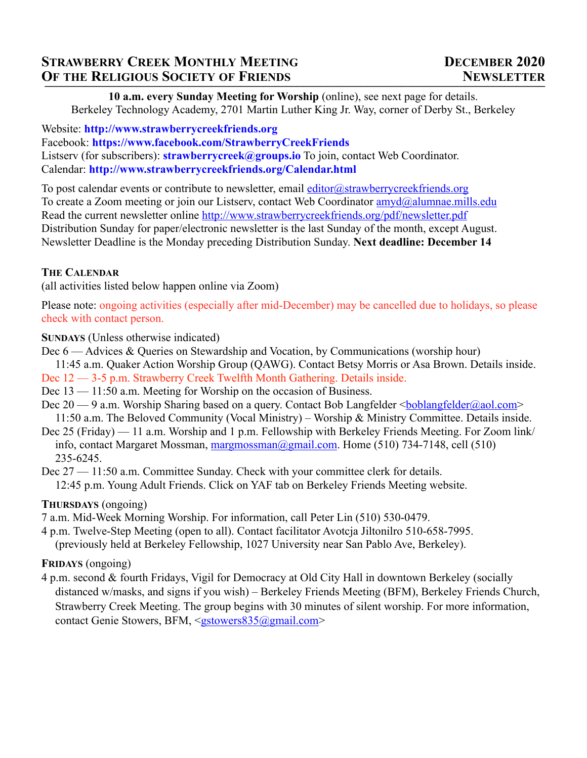**10 a.m. every Sunday Meeting for Worship** (online), see next page for details. Berkeley Technology Academy, 2701 Martin Luther King Jr. Way, corner of Derby St., Berkeley

Website: **http://www.strawberrycreekfriends.org** Facebook: **https://www.facebook.com/StrawberryCreekFriends** Listserv (for subscribers): **strawberrycreek@groups.io** To join, contact Web Coordinator. Calendar: **http://www.strawberrycreekfriends.org/Calendar.html**

To post calendar events or contribute to newsletter, email  $editor@strawberry^{\text{c}}$ To create a Zoom meeting or join our Listsery, contact Web Coordinator amyd@alumnae.mills.edu Read the current newsletter online http://www.strawberrycreekfriends.org/pdf/newsletter.pdf Distribution Sunday for paper/electronic newsletter is the last Sunday of the month, except August. Newsletter Deadline is the Monday preceding Distribution Sunday. **Next deadline: December 14**

## **THE CALENDAR**

(all activities listed below happen online via Zoom)

Please note: ongoing activities (especially after mid-December) may be cancelled due to holidays, so please check with contact person.

**SUNDAYS** (Unless otherwise indicated)

- Dec 6 Advices & Queries on Stewardship and Vocation, by Communications (worship hour) 11:45 a.m. Quaker Action Worship Group (QAWG). Contact Betsy Morris or Asa Brown. Details inside.
- Dec 12 3-5 p.m. Strawberry Creek Twelfth Month Gathering. Details inside.
- Dec 13 11:50 a.m. Meeting for Worship on the occasion of Business.
- Dec 20 9 a.m. Worship Sharing based on a query. Contact Bob Langfelder <br/><u>boblangfelder@aol.com</u>> 11:50 a.m. The Beloved Community (Vocal Ministry) – Worship & Ministry Committee. Details inside.
- Dec 25 (Friday) 11 a.m. Worship and 1 p.m. Fellowship with Berkeley Friends Meeting. For Zoom link/ info, contact Margaret Mossman, margmossman@gmail.com. Home (510) 734-7148, cell (510) 235-6245.
- Dec 27 11:50 a.m. Committee Sunday. Check with your committee clerk for details. 12:45 p.m. Young Adult Friends. Click on YAF tab on Berkeley Friends Meeting website.

# **THURSDAYS** (ongoing)

- 7 a.m. Mid-Week Morning Worship. For information, call Peter Lin (510) 530-0479.
- 4 p.m. Twelve-Step Meeting (open to all). Contact facilitator Avotcja Jiltonilro 510-658-7995. (previously held at Berkeley Fellowship, 1027 University near San Pablo Ave, Berkeley).

# **FRIDAYS** (ongoing)

4 p.m. second & fourth Fridays, Vigil for Democracy at Old City Hall in downtown Berkeley (socially distanced w/masks, and signs if you wish) – Berkeley Friends Meeting (BFM), Berkeley Friends Church, Strawberry Creek Meeting. The group begins with 30 minutes of silent worship. For more information, contact Genie Stowers, BFM, <gstowers835@gmail.com>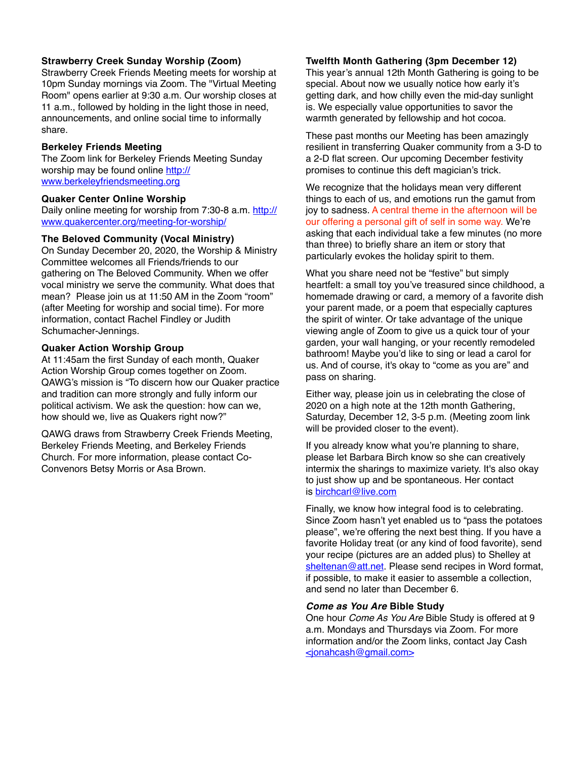### **Strawberry Creek Sunday Worship (Zoom)**

Strawberry Creek Friends Meeting meets for worship at 10pm Sunday mornings via Zoom. The "Virtual Meeting Room" opens earlier at 9:30 a.m. Our worship closes at 11 a.m., followed by holding in the light those in need, announcements, and online social time to informally share.

### **Berkeley Friends Meeting**

The Zoom link for Berkeley Friends Meeting Sunday worship may be found online http:// www.berkeleyfriendsmeeting.org

#### **Quaker Center Online Worship**

Daily online meeting for worship from 7:30-8 a.m. http:// www.quakercenter.org/meeting-for-worship/

### **The Beloved Community (Vocal Ministry)**

On Sunday December 20, 2020, the Worship & Ministry Committee welcomes all Friends/friends to our gathering on The Beloved Community. When we offer vocal ministry we serve the community. What does that mean? Please join us at 11:50 AM in the Zoom "room" (after Meeting for worship and social time). For more information, contact Rachel Findley or Judith Schumacher-Jennings.

### **Quaker Action Worship Group**

At 11:45am the first Sunday of each month, Quaker Action Worship Group comes together on Zoom. QAWG's mission is "To discern how our Quaker practice and tradition can more strongly and fully inform our political activism. We ask the question: how can we, how should we, live as Quakers right now?"

QAWG draws from Strawberry Creek Friends Meeting, Berkeley Friends Meeting, and Berkeley Friends Church. For more information, please contact Co-Convenors Betsy Morris or Asa Brown.

### **Twelfth Month Gathering (3pm December 12)**

This year's annual 12th Month Gathering is going to be special. About now we usually notice how early it's getting dark, and how chilly even the mid-day sunlight is. We especially value opportunities to savor the warmth generated by fellowship and hot cocoa.

These past months our Meeting has been amazingly resilient in transferring Quaker community from a 3-D to a 2-D flat screen. Our upcoming December festivity promises to continue this deft magician's trick.

We recognize that the holidays mean very different things to each of us, and emotions run the gamut from joy to sadness. A central theme in the afternoon will be our offering a personal gift of self in some way. We're asking that each individual take a few minutes (no more than three) to briefly share an item or story that particularly evokes the holiday spirit to them.

What you share need not be "festive" but simply heartfelt: a small toy you've treasured since childhood, a homemade drawing or card, a memory of a favorite dish your parent made, or a poem that especially captures the spirit of winter. Or take advantage of the unique viewing angle of Zoom to give us a quick tour of your garden, your wall hanging, or your recently remodeled bathroom! Maybe you'd like to sing or lead a carol for us. And of course, it's okay to "come as you are" and pass on sharing.

Either way, please join us in celebrating the close of 2020 on a high note at the 12th month Gathering, Saturday, December 12, 3-5 p.m. (Meeting zoom link will be provided closer to the event).

If you already know what you're planning to share, please let Barbara Birch know so she can creatively intermix the sharings to maximize variety. It's also okay to just show up and be spontaneous. Her contact is birchcarl@live.com

Finally, we know how integral food is to celebrating. Since Zoom hasn't yet enabled us to "pass the potatoes please", we're offering the next best thing. If you have a favorite Holiday treat (or any kind of food favorite), send your recipe (pictures are an added plus) to Shelley at sheltenan@att.net. Please send recipes in Word format, if possible, to make it easier to assemble a collection, and send no later than December 6.

#### *Come as You Are* **Bible Study**

One hour *Come As You Are* Bible Study is offered at 9 a.m. Mondays and Thursdays via Zoom. For more information and/or the Zoom links, contact Jay Cash <jonahcash@gmail.com>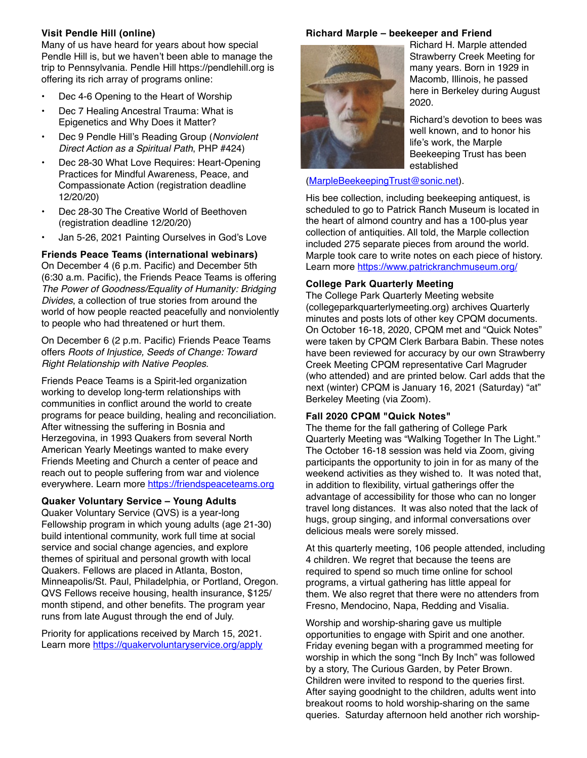## **Visit Pendle Hill (online)**

Many of us have heard for years about how special Pendle Hill is, but we haven't been able to manage the trip to Pennsylvania. Pendle Hill https://pendlehill.org is offering its rich array of programs online:

- Dec 4-6 Opening to the Heart of Worship
- Dec 7 Healing Ancestral Trauma: What is Epigenetics and Why Does it Matter?
- Dec 9 Pendle Hill's Reading Group (*Nonviolent Direct Action as a Spiritual Path*, PHP #424)
- Dec 28-30 What Love Requires: Heart-Opening Practices for Mindful Awareness, Peace, and Compassionate Action (registration deadline 12/20/20)
- Dec 28-30 The Creative World of Beethoven (registration deadline 12/20/20)
- Jan 5-26, 2021 Painting Ourselves in God's Love

**Friends Peace Teams (international webinars)**  On December 4 (6 p.m. Pacific) and December 5th (6:30 a.m. Pacific), the Friends Peace Teams is offering *The Power of Goodness/Equality of Humanity: Bridging Divides*, a collection of true stories from around the world of how people reacted peacefully and nonviolently to people who had threatened or hurt them.

On December 6 (2 p.m. Pacific) Friends Peace Teams offers *Roots of Injustice, Seeds of Change: Toward Right Relationship with Native Peoples*.

Friends Peace Teams is a Spirit-led organization working to develop long-term relationships with communities in conflict around the world to create programs for peace building, healing and reconciliation. After witnessing the suffering in Bosnia and Herzegovina, in 1993 Quakers from several North American Yearly Meetings wanted to make every Friends Meeting and Church a center of peace and reach out to people suffering from war and violence everywhere. Learn more https://friendspeaceteams.org

### **Quaker Voluntary Service – Young Adults**

Quaker Voluntary Service (QVS) is a year-long Fellowship program in which young adults (age 21-30) build intentional community, work full time at social service and social change agencies, and explore themes of spiritual and personal growth with local Quakers. Fellows are placed in Atlanta, Boston, Minneapolis/St. Paul, Philadelphia, or Portland, Oregon. QVS Fellows receive housing, health insurance, \$125/ month stipend, and other benefits. The program year runs from late August through the end of July.

Priority for applications received by March 15, 2021. Learn more https://quakervoluntaryservice.org/apply

### **Richard Marple – beekeeper and Friend**



Richard H. Marple attended Strawberry Creek Meeting for many years. Born in 1929 in Macomb, Illinois, he passed here in Berkeley during August 2020.

Richard's devotion to bees was well known, and to honor his life's work, the Marple Beekeeping Trust has been established

(MarpleBeekeepingTrust@sonic.net).

His bee collection, including beekeeping antiquest, is scheduled to go to Patrick Ranch Museum is located in the heart of almond country and has a 100-plus year collection of antiquities. All told, the Marple collection included 275 separate pieces from around the world. Marple took care to write notes on each piece of history. Learn more https://www.patrickranchmuseum.org/

### **College Park Quarterly Meeting**

The College Park Quarterly Meeting website (collegeparkquarterlymeeting.org) archives Quarterly minutes and posts lots of other key CPQM documents. On October 16-18, 2020, CPQM met and "Quick Notes" were taken by CPQM Clerk Barbara Babin. These notes have been reviewed for accuracy by our own Strawberry Creek Meeting CPQM representative Carl Magruder (who attended) and are printed below. Carl adds that the next (winter) CPQM is January 16, 2021 (Saturday) "at" Berkeley Meeting (via Zoom).

## **Fall 2020 CPQM "Quick Notes"**

The theme for the fall gathering of College Park Quarterly Meeting was "Walking Together In The Light." The October 16-18 session was held via Zoom, giving participants the opportunity to join in for as many of the weekend activities as they wished to. It was noted that, in addition to flexibility, virtual gatherings offer the advantage of accessibility for those who can no longer travel long distances. It was also noted that the lack of hugs, group singing, and informal conversations over delicious meals were sorely missed.

At this quarterly meeting, 106 people attended, including 4 children. We regret that because the teens are required to spend so much time online for school programs, a virtual gathering has little appeal for them. We also regret that there were no attenders from Fresno, Mendocino, Napa, Redding and Visalia.

Worship and worship-sharing gave us multiple opportunities to engage with Spirit and one another. Friday evening began with a programmed meeting for worship in which the song "Inch By Inch" was followed by a story, The Curious Garden, by Peter Brown. Children were invited to respond to the queries first. After saying goodnight to the children, adults went into breakout rooms to hold worship-sharing on the same queries. Saturday afternoon held another rich worship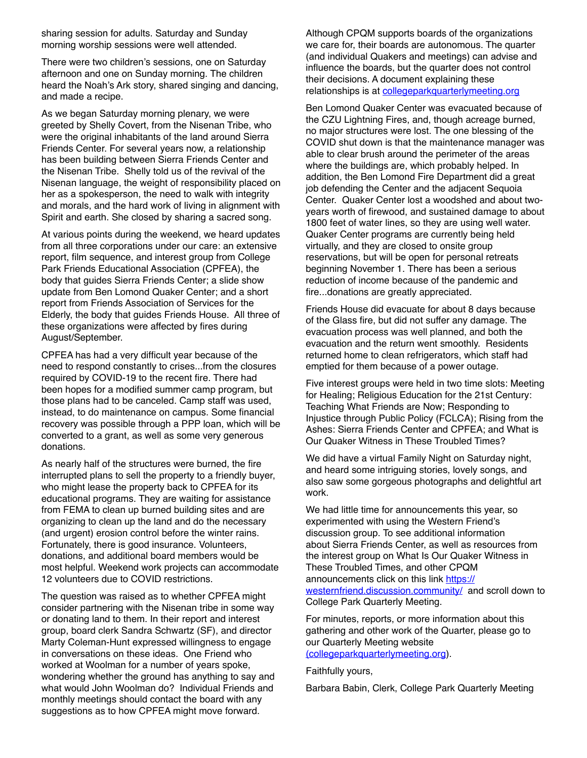sharing session for adults. Saturday and Sunday morning worship sessions were well attended.

There were two children's sessions, one on Saturday afternoon and one on Sunday morning. The children heard the Noah's Ark story, shared singing and dancing, and made a recipe.

As we began Saturday morning plenary, we were greeted by Shelly Covert, from the Nisenan Tribe, who were the original inhabitants of the land around Sierra Friends Center. For several years now, a relationship has been building between Sierra Friends Center and the Nisenan Tribe. Shelly told us of the revival of the Nisenan language, the weight of responsibility placed on her as a spokesperson, the need to walk with integrity and morals, and the hard work of living in alignment with Spirit and earth. She closed by sharing a sacred song.

At various points during the weekend, we heard updates from all three corporations under our care: an extensive report, film sequence, and interest group from College Park Friends Educational Association (CPFEA), the body that guides Sierra Friends Center; a slide show update from Ben Lomond Quaker Center; and a short report from Friends Association of Services for the Elderly, the body that guides Friends House. All three of these organizations were affected by fires during August/September.

CPFEA has had a very difficult year because of the need to respond constantly to crises...from the closures required by COVID-19 to the recent fire. There had been hopes for a modified summer camp program, but those plans had to be canceled. Camp staff was used, instead, to do maintenance on campus. Some financial recovery was possible through a PPP loan, which will be converted to a grant, as well as some very generous donations.

As nearly half of the structures were burned, the fire interrupted plans to sell the property to a friendly buyer, who might lease the property back to CPFEA for its educational programs. They are waiting for assistance from FEMA to clean up burned building sites and are organizing to clean up the land and do the necessary (and urgent) erosion control before the winter rains. Fortunately, there is good insurance. Volunteers, donations, and additional board members would be most helpful. Weekend work projects can accommodate 12 volunteers due to COVID restrictions.

The question was raised as to whether CPFEA might consider partnering with the Nisenan tribe in some way or donating land to them. In their report and interest group, board clerk Sandra Schwartz (SF), and director Marty Coleman-Hunt expressed willingness to engage in conversations on these ideas. One Friend who worked at Woolman for a number of years spoke, wondering whether the ground has anything to say and what would John Woolman do? Individual Friends and monthly meetings should contact the board with any suggestions as to how CPFEA might move forward.

Although CPQM supports boards of the organizations we care for, their boards are autonomous. The quarter (and individual Quakers and meetings) can advise and influence the boards, but the quarter does not control their decisions. A document explaining these relationships is at collegeparkquarterlymeeting.org

Ben Lomond Quaker Center was evacuated because of the CZU Lightning Fires, and, though acreage burned, no major structures were lost. The one blessing of the COVID shut down is that the maintenance manager was able to clear brush around the perimeter of the areas where the buildings are, which probably helped. In addition, the Ben Lomond Fire Department did a great job defending the Center and the adjacent Sequoia Center. Quaker Center lost a woodshed and about twoyears worth of firewood, and sustained damage to about 1800 feet of water lines, so they are using well water. Quaker Center programs are currently being held virtually, and they are closed to onsite group reservations, but will be open for personal retreats beginning November 1. There has been a serious reduction of income because of the pandemic and fire...donations are greatly appreciated.

Friends House did evacuate for about 8 days because of the Glass fire, but did not suffer any damage. The evacuation process was well planned, and both the evacuation and the return went smoothly. Residents returned home to clean refrigerators, which staff had emptied for them because of a power outage.

Five interest groups were held in two time slots: Meeting for Healing; Religious Education for the 21st Century: Teaching What Friends are Now; Responding to Injustice through Public Policy (FCLCA); Rising from the Ashes: Sierra Friends Center and CPFEA; and What is Our Quaker Witness in These Troubled Times?

We did have a virtual Family Night on Saturday night, and heard some intriguing stories, lovely songs, and also saw some gorgeous photographs and delightful art work.

We had little time for announcements this year, so experimented with using the Western Friend's discussion group. To see additional information about Sierra Friends Center, as well as resources from the interest group on What Is Our Quaker Witness in These Troubled Times, and other CPQM announcements click on this link https:// westernfriend.discussion.community/ and scroll down to College Park Quarterly Meeting.

For minutes, reports, or more information about this gathering and other work of the Quarter, please go to our Quarterly Meeting website (collegeparkquarterlymeeting.org).

Faithfully yours,

Barbara Babin, Clerk, College Park Quarterly Meeting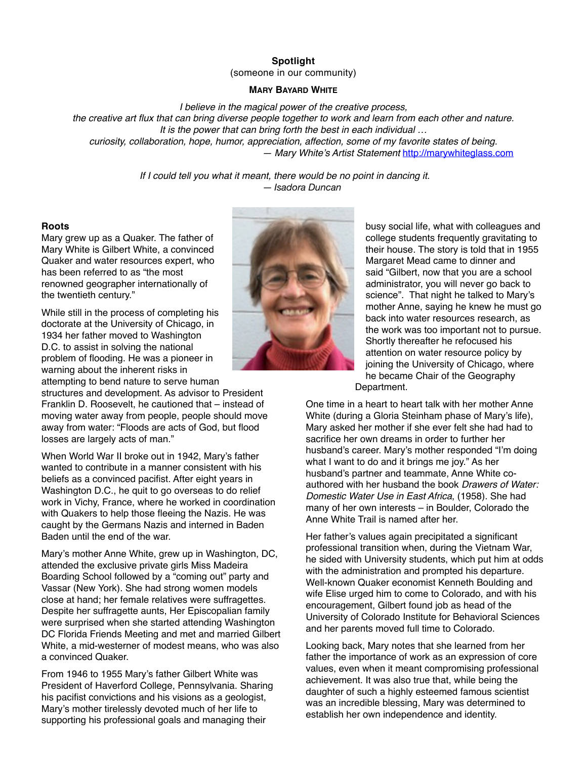### **Spotlight**  (someone in our community)

### **MARY BAYARD WHITE**

*I believe in the magical power of the creative process,*

*the creative art flux that can bring diverse people together to work and learn from each other and nature. It is the power that can bring forth the best in each individual … curiosity, collaboration, hope, humor, appreciation, affection, some of my favorite states of being. — Mary White's Artist Statement* http://marywhiteglass.com

> *If I could tell you what it meant, there would be no point in dancing it. — Isadora Duncan*

#### **Roots**

Mary grew up as a Quaker. The father of Mary White is Gilbert White, a convinced Quaker and water resources expert, who has been referred to as "the most renowned geographer internationally of the twentieth century."

While still in the process of completing his doctorate at the University of Chicago, in 1934 her father moved to Washington D.C. to assist in solving the national problem of flooding. He was a pioneer in warning about the inherent risks in attempting to bend nature to serve human

structures and development. As advisor to President Franklin D. Roosevelt, he cautioned that – instead of moving water away from people, people should move away from water: "Floods are acts of God, but flood losses are largely acts of man."

When World War II broke out in 1942, Mary's father wanted to contribute in a manner consistent with his beliefs as a convinced pacifist. After eight years in Washington D.C., he quit to go overseas to do relief work in Vichy, France, where he worked in coordination with Quakers to help those fleeing the Nazis. He was caught by the Germans Nazis and interned in Baden Baden until the end of the war.

Mary's mother Anne White, grew up in Washington, DC, attended the exclusive private girls Miss Madeira Boarding School followed by a "coming out" party and Vassar (New York). She had strong women models close at hand; her female relatives were suffragettes. Despite her suffragette aunts, Her Episcopalian family were surprised when she started attending Washington DC Florida Friends Meeting and met and married Gilbert White, a mid-westerner of modest means, who was also a convinced Quaker.

From 1946 to 1955 Mary's father Gilbert White was President of Haverford College, Pennsylvania. Sharing his pacifist convictions and his visions as a geologist, Mary's mother tirelessly devoted much of her life to supporting his professional goals and managing their



busy social life, what with colleagues and college students frequently gravitating to their house. The story is told that in 1955 Margaret Mead came to dinner and said "Gilbert, now that you are a school administrator, you will never go back to science". That night he talked to Mary's mother Anne, saying he knew he must go back into water resources research, as the work was too important not to pursue. Shortly thereafter he refocused his attention on water resource policy by joining the University of Chicago, where he became Chair of the Geography Department.

One time in a heart to heart talk with her mother Anne White (during a Gloria Steinham phase of Mary's life), Mary asked her mother if she ever felt she had had to sacrifice her own dreams in order to further her husband's career. Mary's mother responded "I'm doing what I want to do and it brings me joy." As her husband's partner and teammate, Anne White coauthored with her husband the book *Drawers of Water: Domestic Water Use in East Africa*, (1958). She had many of her own interests – in Boulder, Colorado the Anne White Trail is named after her.

Her father's values again precipitated a significant professional transition when, during the Vietnam War, he sided with University students, which put him at odds with the administration and prompted his departure. Well-known Quaker economist Kenneth Boulding and wife Elise urged him to come to Colorado, and with his encouragement, Gilbert found job as head of the University of Colorado Institute for Behavioral Sciences and her parents moved full time to Colorado.

Looking back, Mary notes that she learned from her father the importance of work as an expression of core values, even when it meant compromising professional achievement. It was also true that, while being the daughter of such a highly esteemed famous scientist was an incredible blessing, Mary was determined to establish her own independence and identity.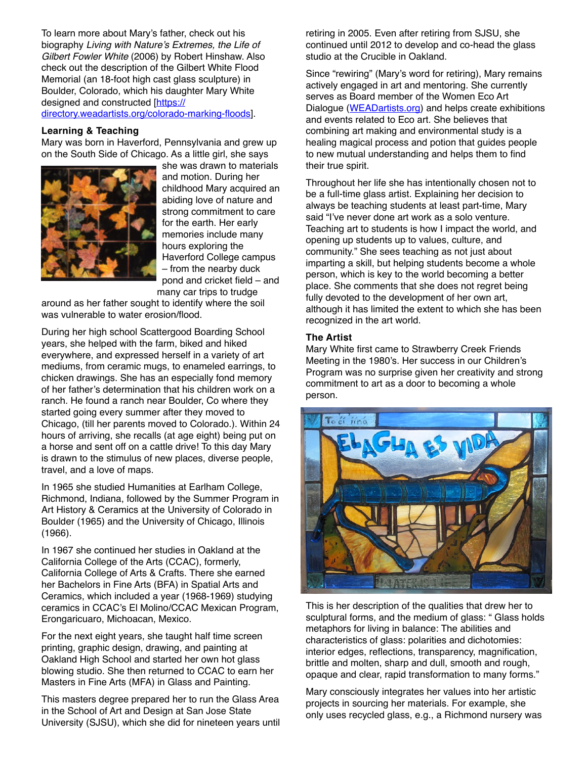To learn more about Mary's father, check out his biography *Living with Nature's Extremes, the Life of Gilbert Fowler White* (2006) by Robert Hinshaw. Also check out the description of the Gilbert White Flood Memorial (an 18-foot high cast glass sculpture) in Boulder, Colorado, which his daughter Mary White designed and constructed [https:// directory.weadartists.org/colorado-marking-floods].

#### **Learning & Teaching**

Mary was born in Haverford, Pennsylvania and grew up on the South Side of Chicago. As a little girl, she says



she was drawn to materials and motion. During her childhood Mary acquired an abiding love of nature and strong commitment to care for the earth. Her early memories include many hours exploring the Haverford College campus – from the nearby duck pond and cricket field – and many car trips to trudge

around as her father sought to identify where the soil was vulnerable to water erosion/flood.

During her high school Scattergood Boarding School years, she helped with the farm, biked and hiked everywhere, and expressed herself in a variety of art mediums, from ceramic mugs, to enameled earrings, to chicken drawings. She has an especially fond memory of her father's determination that his children work on a ranch. He found a ranch near Boulder, Co where they started going every summer after they moved to Chicago, (till her parents moved to Colorado.). Within 24 hours of arriving, she recalls (at age eight) being put on a horse and sent off on a cattle drive! To this day Mary is drawn to the stimulus of new places, diverse people, travel, and a love of maps.

In 1965 she studied Humanities at Earlham College, Richmond, Indiana, followed by the Summer Program in Art History & Ceramics at the University of Colorado in Boulder (1965) and the University of Chicago, Illinois (1966).

In 1967 she continued her studies in Oakland at the California College of the Arts (CCAC), formerly, California College of Arts & Crafts. There she earned her Bachelors in Fine Arts (BFA) in Spatial Arts and Ceramics, which included a year (1968-1969) studying ceramics in CCAC's El Molino/CCAC Mexican Program, Erongaricuaro, Michoacan, Mexico.

For the next eight years, she taught half time screen printing, graphic design, drawing, and painting at Oakland High School and started her own hot glass blowing studio. She then returned to CCAC to earn her Masters in Fine Arts (MFA) in Glass and Painting.

This masters degree prepared her to run the Glass Area in the School of Art and Design at San Jose State University (SJSU), which she did for nineteen years until retiring in 2005. Even after retiring from SJSU, she continued until 2012 to develop and co-head the glass studio at the Crucible in Oakland.

Since "rewiring" (Mary's word for retiring), Mary remains actively engaged in art and mentoring. She currently serves as Board member of the Women Eco Art Dialogue (WEADartists.org) and helps create exhibitions and events related to Eco art. She believes that combining art making and environmental study is a healing magical process and potion that guides people to new mutual understanding and helps them to find their true spirit.

Throughout her life she has intentionally chosen not to be a full-time glass artist. Explaining her decision to always be teaching students at least part-time, Mary said "I've never done art work as a solo venture. Teaching art to students is how I impact the world, and opening up students up to values, culture, and community." She sees teaching as not just about imparting a skill, but helping students become a whole person, which is key to the world becoming a better place. She comments that she does not regret being fully devoted to the development of her own art, although it has limited the extent to which she has been recognized in the art world.

#### **The Artist**

Mary White first came to Strawberry Creek Friends Meeting in the 1980's. Her success in our Children's Program was no surprise given her creativity and strong commitment to art as a door to becoming a whole person.



This is her description of the qualities that drew her to sculptural forms, and the medium of glass: " Glass holds metaphors for living in balance: The abilities and characteristics of glass: polarities and dichotomies: interior edges, reflections, transparency, magnification, brittle and molten, sharp and dull, smooth and rough, opaque and clear, rapid transformation to many forms."

Mary consciously integrates her values into her artistic projects in sourcing her materials. For example, she only uses recycled glass, e.g., a Richmond nursery was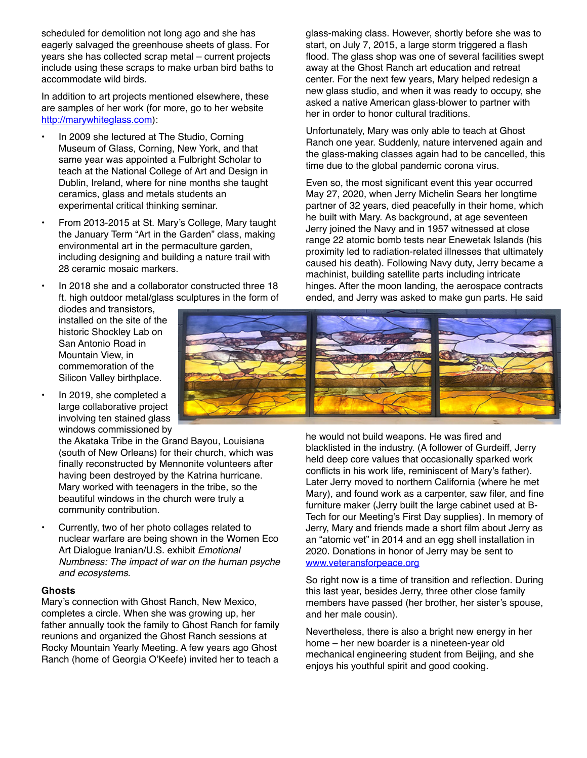scheduled for demolition not long ago and she has eagerly salvaged the greenhouse sheets of glass. For years she has collected scrap metal – current projects include using these scraps to make urban bird baths to accommodate wild birds.

In addition to art projects mentioned elsewhere, these are samples of her work (for more, go to her website http://marywhiteglass.com):

- In 2009 she lectured at The Studio, Corning Museum of Glass, Corning, New York, and that same year was appointed a Fulbright Scholar to teach at the National College of Art and Design in Dublin, Ireland, where for nine months she taught ceramics, glass and metals students an experimental critical thinking seminar.
- From 2013-2015 at St. Mary's College, Mary taught the January Term "Art in the Garden" class, making environmental art in the permaculture garden, including designing and building a nature trail with 28 ceramic mosaic markers.
- In 2018 she and a collaborator constructed three 18 ft. high outdoor metal/glass sculptures in the form of

diodes and transistors, installed on the site of the historic Shockley Lab on San Antonio Road in Mountain View, in commemoration of the Silicon Valley birthplace.

• In 2019, she completed a large collaborative project involving ten stained glass windows commissioned by

> the Akataka Tribe in the Grand Bayou, Louisiana (south of New Orleans) for their church, which was finally reconstructed by Mennonite volunteers after having been destroyed by the Katrina hurricane. Mary worked with teenagers in the tribe, so the beautiful windows in the church were truly a community contribution.

• Currently, two of her photo collages related to nuclear warfare are being shown in the Women Eco Art Dialogue Iranian/U.S. exhibit *Emotional Numbness: The impact of war on the human psyche and ecosystems*.

#### **Ghosts**

Mary's connection with Ghost Ranch, New Mexico, completes a circle. When she was growing up, her father annually took the family to Ghost Ranch for family reunions and organized the Ghost Ranch sessions at Rocky Mountain Yearly Meeting. A few years ago Ghost Ranch (home of Georgia O'Keefe) invited her to teach a glass-making class. However, shortly before she was to start, on July 7, 2015, a large storm triggered a flash flood. The glass shop was one of several facilities swept away at the Ghost Ranch art education and retreat center. For the next few years, Mary helped redesign a new glass studio, and when it was ready to occupy, she asked a native American glass-blower to partner with her in order to honor cultural traditions.

Unfortunately, Mary was only able to teach at Ghost Ranch one year. Suddenly, nature intervened again and the glass-making classes again had to be cancelled, this time due to the global pandemic corona virus.

Even so, the most significant event this year occurred May 27, 2020, when Jerry Michelin Sears her longtime partner of 32 years, died peacefully in their home, which he built with Mary. As background, at age seventeen Jerry joined the Navy and in 1957 witnessed at close range 22 atomic bomb tests near Enewetak Islands (his proximity led to radiation-related illnesses that ultimately caused his death). Following Navy duty, Jerry became a machinist, building satellite parts including intricate hinges. After the moon landing, the aerospace contracts ended, and Jerry was asked to make gun parts. He said



he would not build weapons. He was fired and blacklisted in the industry. (A follower of Gurdeiff, Jerry held deep core values that occasionally sparked work conflicts in his work life, reminiscent of Mary's father). Later Jerry moved to northern California (where he met Mary), and found work as a carpenter, saw filer, and fine furniture maker (Jerry built the large cabinet used at B-Tech for our Meeting's First Day supplies). In memory of Jerry, Mary and friends made a short film about Jerry as an "atomic vet" in 2014 and an egg shell installation in 2020. Donations in honor of Jerry may be sent to www.veteransforpeace.org

So right now is a time of transition and reflection. During this last year, besides Jerry, three other close family members have passed (her brother, her sister's spouse, and her male cousin).

Nevertheless, there is also a bright new energy in her home – her new boarder is a nineteen-year old mechanical engineering student from Beijing, and she enjoys his youthful spirit and good cooking.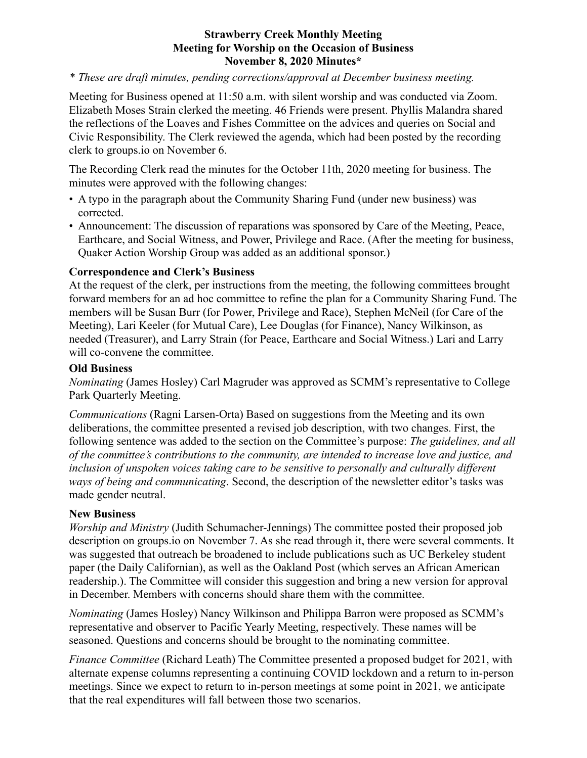## **Strawberry Creek Monthly Meeting Meeting for Worship on the Occasion of Business November 8, 2020 Minutes\***

## *\* These are draft minutes, pending corrections/approval at December business meeting.*

Meeting for Business opened at 11:50 a.m. with silent worship and was conducted via Zoom. Elizabeth Moses Strain clerked the meeting. 46 Friends were present. Phyllis Malandra shared the reflections of the Loaves and Fishes Committee on the advices and queries on Social and Civic Responsibility. The Clerk reviewed the agenda, which had been posted by the recording clerk to groups.io on November 6.

The Recording Clerk read the minutes for the October 11th, 2020 meeting for business. The minutes were approved with the following changes:

- A typo in the paragraph about the Community Sharing Fund (under new business) was corrected.
- Announcement: The discussion of reparations was sponsored by Care of the Meeting, Peace, Earthcare, and Social Witness, and Power, Privilege and Race. (After the meeting for business, Quaker Action Worship Group was added as an additional sponsor.)

## **Correspondence and Clerk's Business**

At the request of the clerk, per instructions from the meeting, the following committees brought forward members for an ad hoc committee to refine the plan for a Community Sharing Fund. The members will be Susan Burr (for Power, Privilege and Race), Stephen McNeil (for Care of the Meeting), Lari Keeler (for Mutual Care), Lee Douglas (for Finance), Nancy Wilkinson, as needed (Treasurer), and Larry Strain (for Peace, Earthcare and Social Witness.) Lari and Larry will co-convene the committee.

## **Old Business**

*Nominating* (James Hosley) Carl Magruder was approved as SCMM's representative to College Park Quarterly Meeting.

*Communications* (Ragni Larsen-Orta) Based on suggestions from the Meeting and its own deliberations, the committee presented a revised job description, with two changes. First, the following sentence was added to the section on the Committee's purpose: *The guidelines, and all of the committee's contributions to the community, are intended to increase love and justice, and inclusion of unspoken voices taking care to be sensitive to personally and culturally different ways of being and communicating*. Second, the description of the newsletter editor's tasks was made gender neutral.

## **New Business**

*Worship and Ministry* (Judith Schumacher-Jennings) The committee posted their proposed job description on groups.io on November 7. As she read through it, there were several comments. It was suggested that outreach be broadened to include publications such as UC Berkeley student paper (the Daily Californian), as well as the Oakland Post (which serves an African American readership.). The Committee will consider this suggestion and bring a new version for approval in December. Members with concerns should share them with the committee.

*Nominating* (James Hosley) Nancy Wilkinson and Philippa Barron were proposed as SCMM's representative and observer to Pacific Yearly Meeting, respectively. These names will be seasoned. Questions and concerns should be brought to the nominating committee.

*Finance Committee* (Richard Leath) The Committee presented a proposed budget for 2021, with alternate expense columns representing a continuing COVID lockdown and a return to in-person meetings. Since we expect to return to in-person meetings at some point in 2021, we anticipate that the real expenditures will fall between those two scenarios.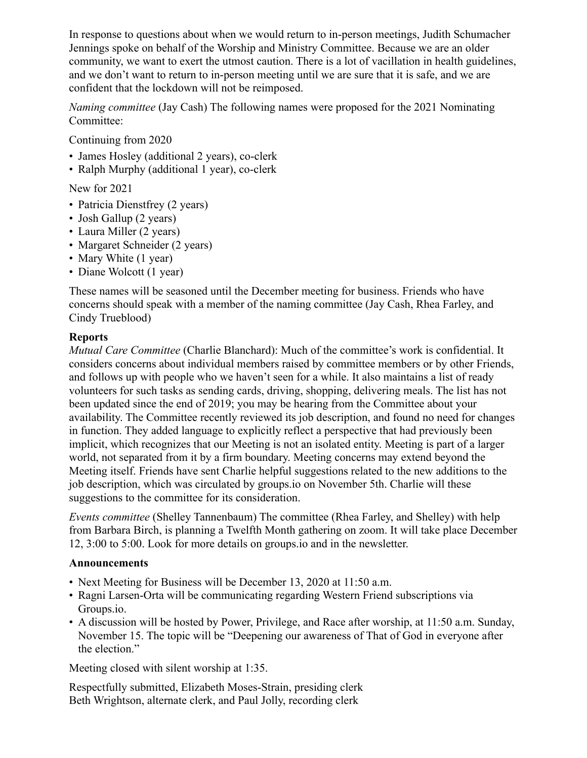In response to questions about when we would return to in-person meetings, Judith Schumacher Jennings spoke on behalf of the Worship and Ministry Committee. Because we are an older community, we want to exert the utmost caution. There is a lot of vacillation in health guidelines, and we don't want to return to in-person meeting until we are sure that it is safe, and we are confident that the lockdown will not be reimposed.

*Naming committee* (Jay Cash) The following names were proposed for the 2021 Nominating Committee:

Continuing from 2020

- James Hosley (additional 2 years), co-clerk
- Ralph Murphy (additional 1 year), co-clerk

New for 2021

- Patricia Dienstfrey (2 years)
- Josh Gallup (2 years)
- Laura Miller (2 years)
- Margaret Schneider (2 years)
- Mary White (1 year)
- Diane Wolcott (1 year)

These names will be seasoned until the December meeting for business. Friends who have concerns should speak with a member of the naming committee (Jay Cash, Rhea Farley, and Cindy Trueblood)

## **Reports**

*Mutual Care Committee* (Charlie Blanchard): Much of the committee's work is confidential. It considers concerns about individual members raised by committee members or by other Friends, and follows up with people who we haven't seen for a while. It also maintains a list of ready volunteers for such tasks as sending cards, driving, shopping, delivering meals. The list has not been updated since the end of 2019; you may be hearing from the Committee about your availability. The Committee recently reviewed its job description, and found no need for changes in function. They added language to explicitly reflect a perspective that had previously been implicit, which recognizes that our Meeting is not an isolated entity. Meeting is part of a larger world, not separated from it by a firm boundary. Meeting concerns may extend beyond the Meeting itself. Friends have sent Charlie helpful suggestions related to the new additions to the job description, which was circulated by groups.io on November 5th. Charlie will these suggestions to the committee for its consideration.

*Events committee* (Shelley Tannenbaum) The committee (Rhea Farley, and Shelley) with help from Barbara Birch, is planning a Twelfth Month gathering on zoom. It will take place December 12, 3:00 to 5:00. Look for more details on groups.io and in the newsletter.

## **Announcements**

- Next Meeting for Business will be December 13, 2020 at 11:50 a.m.
- Ragni Larsen-Orta will be communicating regarding Western Friend subscriptions via Groups.io.
- A discussion will be hosted by Power, Privilege, and Race after worship, at 11:50 a.m. Sunday, November 15. The topic will be "Deepening our awareness of That of God in everyone after the election."

Meeting closed with silent worship at 1:35.

Respectfully submitted, Elizabeth Moses-Strain, presiding clerk Beth Wrightson, alternate clerk, and Paul Jolly, recording clerk